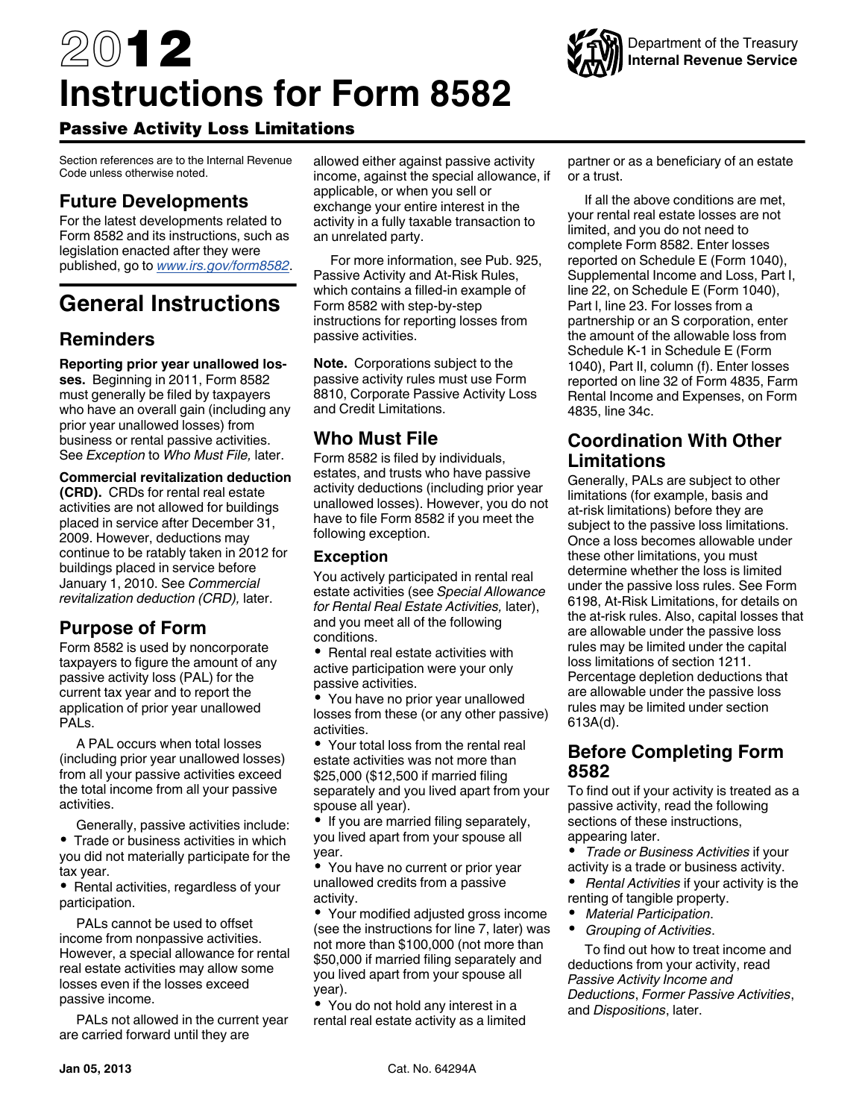# 2012 **Instructions for Form 8582**



Section references are to the Internal Revenue Code unless otherwise noted.

## **Future Developments**

For the latest developments related to Form 8582 and its instructions, such as legislation enacted after they were published, go to *[www.irs.gov/form8582](http://www.irs.gov/form8582)*.

# **General Instructions**

# **Reminders**

**Reporting prior year unallowed losses.** Beginning in 2011, Form 8582 must generally be filed by taxpayers who have an overall gain (including any prior year unallowed losses) from business or rental passive activities. See *Exception* to *Who Must File,* later.

#### **Commercial revitalization deduction**

**(CRD).** CRDs for rental real estate activities are not allowed for buildings placed in service after December 31, 2009. However, deductions may continue to be ratably taken in 2012 for buildings placed in service before January 1, 2010. See *Commercial revitalization deduction (CRD),* later.

## **Purpose of Form**

Form 8582 is used by noncorporate taxpayers to figure the amount of any passive activity loss (PAL) for the current tax year and to report the application of prior year unallowed PALs.

A PAL occurs when total losses (including prior year unallowed losses) from all your passive activities exceed the total income from all your passive activities.

Generally, passive activities include: • Trade or business activities in which you did not materially participate for the tax year.

• Rental activities, regardless of your participation.

PALs cannot be used to offset income from nonpassive activities. However, a special allowance for rental real estate activities may allow some losses even if the losses exceed passive income.

PALs not allowed in the current year are carried forward until they are

allowed either against passive activity income, against the special allowance, if applicable, or when you sell or exchange your entire interest in the activity in a fully taxable transaction to an unrelated party.

For more information, see Pub. 925, Passive Activity and At-Risk Rules, which contains a filled-in example of Form 8582 with step-by-step instructions for reporting losses from passive activities.

**Note.** Corporations subject to the passive activity rules must use Form 8810, Corporate Passive Activity Loss and Credit Limitations.

## **Who Must File**

Form 8582 is filed by individuals, estates, and trusts who have passive activity deductions (including prior year unallowed losses). However, you do not have to file Form 8582 if you meet the following exception.

### **Exception**

You actively participated in rental real estate activities (see *Special Allowance for Rental Real Estate Activities,* later), and you meet all of the following conditions.

• Rental real estate activities with active participation were your only passive activities.

You have no prior year unallowed losses from these (or any other passive) activities.

Your total loss from the rental real estate activities was not more than \$25,000 (\$12,500 if married filing separately and you lived apart from your spouse all year).

• If you are married filing separately, you lived apart from your spouse all year.

You have no current or prior year unallowed credits from a passive activity.

• Your modified adjusted gross income (see the instructions for line 7, later) was not more than \$100,000 (not more than \$50,000 if married filing separately and you lived apart from your spouse all year).

You do not hold any interest in a rental real estate activity as a limited

partner or as a beneficiary of an estate or a trust.

If all the above conditions are met, your rental real estate losses are not limited, and you do not need to complete Form 8582. Enter losses reported on Schedule E (Form 1040), Supplemental Income and Loss, Part I, line 22, on Schedule E (Form 1040), Part l, line 23. For losses from a partnership or an S corporation, enter the amount of the allowable loss from Schedule K-1 in Schedule E (Form 1040), Part II, column (f). Enter losses reported on line 32 of Form 4835, Farm Rental Income and Expenses, on Form 4835, line 34c.

## **Coordination With Other Limitations**

Generally, PALs are subject to other limitations (for example, basis and at-risk limitations) before they are subject to the passive loss limitations. Once a loss becomes allowable under these other limitations, you must determine whether the loss is limited under the passive loss rules. See Form 6198, At-Risk Limitations, for details on the at-risk rules. Also, capital losses that are allowable under the passive loss rules may be limited under the capital loss limitations of section 1211. Percentage depletion deductions that are allowable under the passive loss rules may be limited under section 613A(d).

## **Before Completing Form 8582**

To find out if your activity is treated as a passive activity, read the following sections of these instructions, appearing later.

*Trade or Business Activities* if your activity is a trade or business activity.

• *Rental Activities* if your activity is the renting of tangible property.

- *Material Participation*.
- $\bullet$ *Grouping of Activities*.

To find out how to treat income and deductions from your activity, read *Passive Activity Income and Deductions*, *Former Passive Activities*, and *Dispositions*, later.

Department of the Treasury **Internal Revenue Service**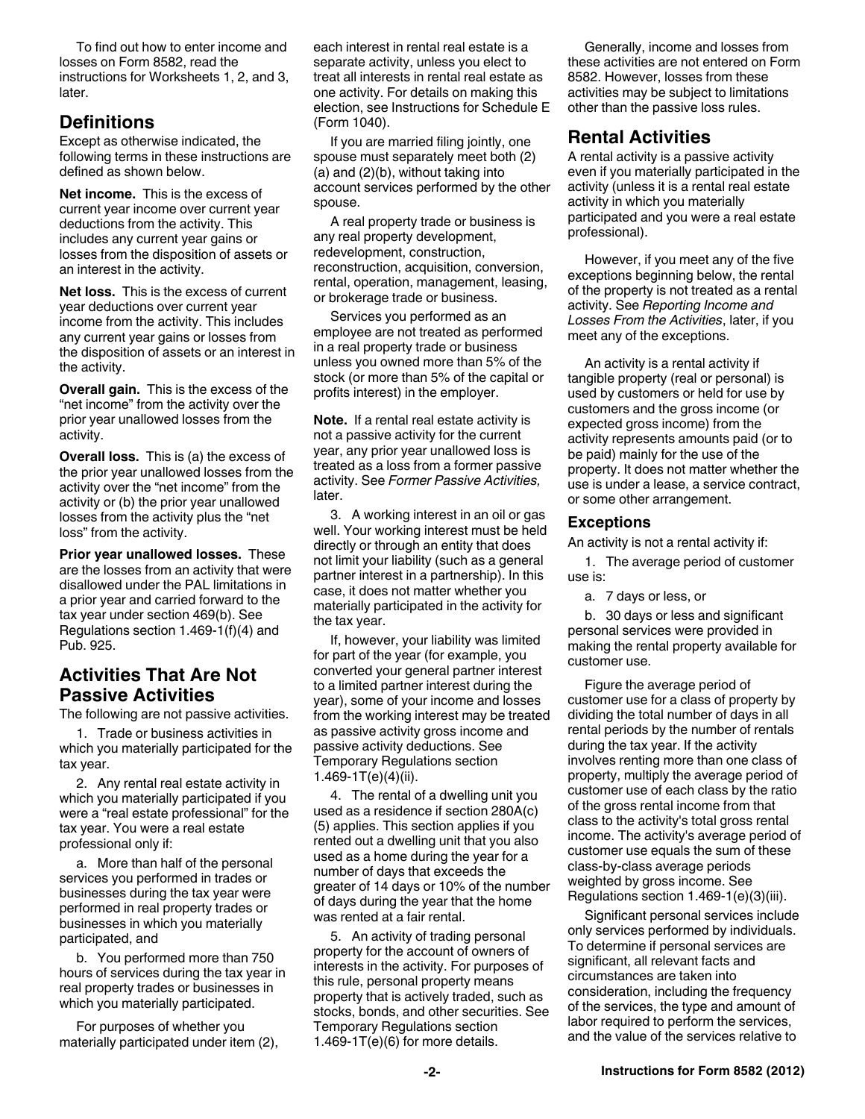To find out how to enter income and losses on Form 8582, read the instructions for Worksheets 1, 2, and 3, later.

## **Definitions**

Except as otherwise indicated, the following terms in these instructions are defined as shown below.

**Net income.** This is the excess of current year income over current year deductions from the activity. This includes any current year gains or losses from the disposition of assets or an interest in the activity.

**Net loss.** This is the excess of current year deductions over current year income from the activity. This includes any current year gains or losses from the disposition of assets or an interest in the activity.

**Overall gain.** This is the excess of the "net income" from the activity over the prior year unallowed losses from the activity.

**Overall loss.** This is (a) the excess of the prior year unallowed losses from the activity over the "net income" from the activity or (b) the prior year unallowed losses from the activity plus the "net loss" from the activity.

**Prior year unallowed losses.** These are the losses from an activity that were disallowed under the PAL limitations in a prior year and carried forward to the tax year under section 469(b). See Regulations section 1.469-1(f)(4) and Pub. 925.

## **Activities That Are Not Passive Activities**

The following are not passive activities.

1. Trade or business activities in which you materially participated for the tax year.

2. Any rental real estate activity in which you materially participated if you were a "real estate professional" for the tax year. You were a real estate professional only if:

a. More than half of the personal services you performed in trades or businesses during the tax year were performed in real property trades or businesses in which you materially participated, and

b. You performed more than 750 hours of services during the tax year in real property trades or businesses in which you materially participated.

For purposes of whether you materially participated under item (2), each interest in rental real estate is a separate activity, unless you elect to treat all interests in rental real estate as one activity. For details on making this election, see Instructions for Schedule E (Form 1040).

If you are married filing jointly, one spouse must separately meet both (2) (a) and (2)(b), without taking into account services performed by the other spouse.

A real property trade or business is any real property development, redevelopment, construction, reconstruction, acquisition, conversion, rental, operation, management, leasing, or brokerage trade or business.

Services you performed as an employee are not treated as performed in a real property trade or business unless you owned more than 5% of the stock (or more than 5% of the capital or profits interest) in the employer.

**Note.** If a rental real estate activity is not a passive activity for the current year, any prior year unallowed loss is treated as a loss from a former passive activity. See *Former Passive Activities,*  later.

3. A working interest in an oil or gas well. Your working interest must be held directly or through an entity that does not limit your liability (such as a general partner interest in a partnership). In this case, it does not matter whether you materially participated in the activity for the tax year.

If, however, your liability was limited for part of the year (for example, you converted your general partner interest to a limited partner interest during the year), some of your income and losses from the working interest may be treated as passive activity gross income and passive activity deductions. See Temporary Regulations section 1.469-1T(e)(4)(ii).

4. The rental of a dwelling unit you used as a residence if section 280A(c) (5) applies. This section applies if you rented out a dwelling unit that you also used as a home during the year for a number of days that exceeds the greater of 14 days or 10% of the number of days during the year that the home was rented at a fair rental.

5. An activity of trading personal property for the account of owners of interests in the activity. For purposes of this rule, personal property means property that is actively traded, such as stocks, bonds, and other securities. See Temporary Regulations section 1.469-1 $T(e)(6)$  for more details.

Generally, income and losses from these activities are not entered on Form 8582. However, losses from these activities may be subject to limitations other than the passive loss rules.

## **Rental Activities**

A rental activity is a passive activity even if you materially participated in the activity (unless it is a rental real estate activity in which you materially participated and you were a real estate professional).

However, if you meet any of the five exceptions beginning below, the rental of the property is not treated as a rental activity. See *Reporting Income and Losses From the Activities*, later, if you meet any of the exceptions.

An activity is a rental activity if tangible property (real or personal) is used by customers or held for use by customers and the gross income (or expected gross income) from the activity represents amounts paid (or to be paid) mainly for the use of the property. It does not matter whether the use is under a lease, a service contract, or some other arrangement.

### **Exceptions**

An activity is not a rental activity if:

1. The average period of customer use is:

a. 7 days or less, or

b. 30 days or less and significant personal services were provided in making the rental property available for customer use.

Figure the average period of customer use for a class of property by dividing the total number of days in all rental periods by the number of rentals during the tax year. If the activity involves renting more than one class of property, multiply the average period of customer use of each class by the ratio of the gross rental income from that class to the activity's total gross rental income. The activity's average period of customer use equals the sum of these class-by-class average periods weighted by gross income. See Regulations section 1.469-1(e)(3)(iii).

Significant personal services include only services performed by individuals. To determine if personal services are significant, all relevant facts and circumstances are taken into consideration, including the frequency of the services, the type and amount of labor required to perform the services, and the value of the services relative to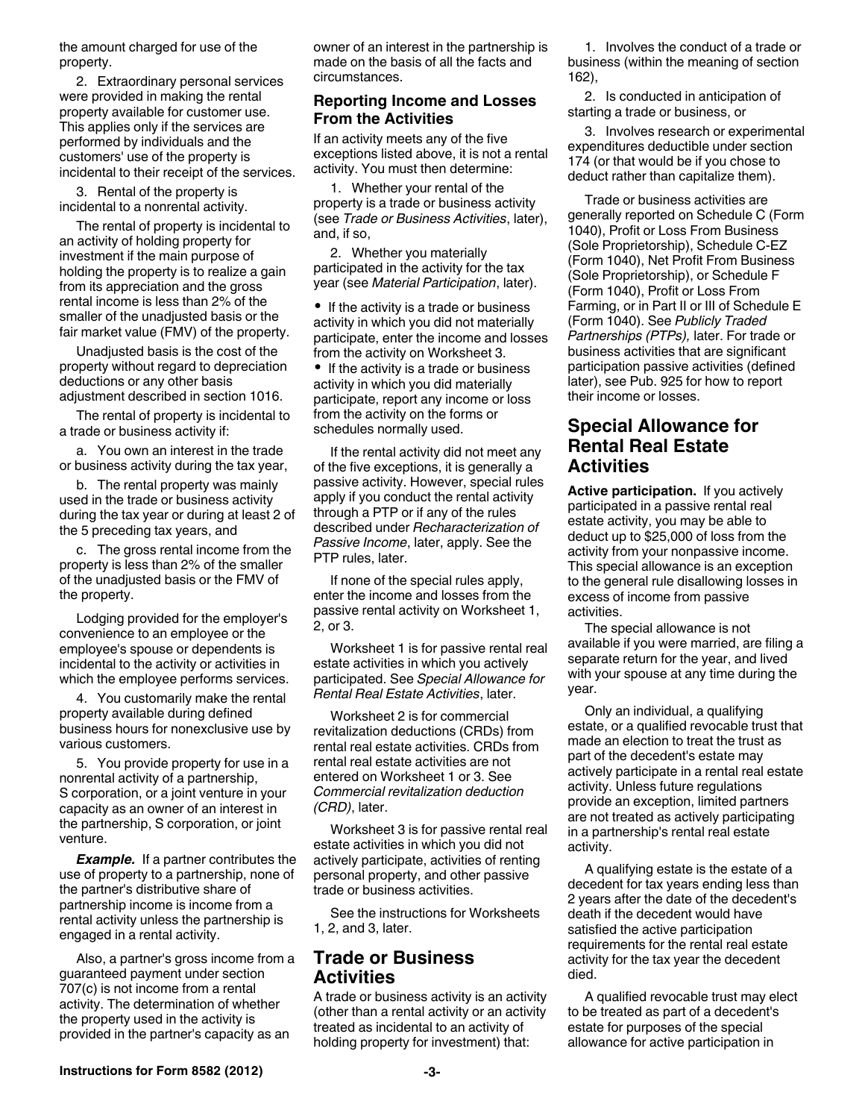the amount charged for use of the property.

2. Extraordinary personal services were provided in making the rental property available for customer use. This applies only if the services are performed by individuals and the customers' use of the property is incidental to their receipt of the services.

3. Rental of the property is incidental to a nonrental activity.

The rental of property is incidental to an activity of holding property for investment if the main purpose of holding the property is to realize a gain from its appreciation and the gross rental income is less than 2% of the smaller of the unadjusted basis or the fair market value (FMV) of the property.

Unadjusted basis is the cost of the property without regard to depreciation deductions or any other basis adjustment described in section 1016.

The rental of property is incidental to a trade or business activity if:

a. You own an interest in the trade or business activity during the tax year,

b. The rental property was mainly used in the trade or business activity during the tax year or during at least 2 of the 5 preceding tax years, and

c. The gross rental income from the property is less than 2% of the smaller of the unadjusted basis or the FMV of the property.

Lodging provided for the employer's convenience to an employee or the employee's spouse or dependents is incidental to the activity or activities in which the employee performs services.

4. You customarily make the rental property available during defined business hours for nonexclusive use by various customers.

5. You provide property for use in a nonrental activity of a partnership, S corporation, or a joint venture in your capacity as an owner of an interest in the partnership, S corporation, or joint venture.

**Example.** If a partner contributes the use of property to a partnership, none of the partner's distributive share of partnership income is income from a rental activity unless the partnership is engaged in a rental activity.

Also, a partner's gross income from a guaranteed payment under section 707(c) is not income from a rental activity. The determination of whether the property used in the activity is provided in the partner's capacity as an

owner of an interest in the partnership is made on the basis of all the facts and circumstances.

#### **Reporting Income and Losses From the Activities**

If an activity meets any of the five exceptions listed above, it is not a rental activity. You must then determine:

1. Whether your rental of the property is a trade or business activity (see *Trade or Business Activities*, later), and, if so,

2. Whether you materially participated in the activity for the tax year (see *Material Participation*, later).

• If the activity is a trade or business activity in which you did not materially participate, enter the income and losses from the activity on Worksheet 3.

• If the activity is a trade or business activity in which you did materially participate, report any income or loss from the activity on the forms or schedules normally used.

If the rental activity did not meet any of the five exceptions, it is generally a passive activity. However, special rules apply if you conduct the rental activity through a PTP or if any of the rules described under *Recharacterization of Passive Income*, later, apply. See the PTP rules, later.

If none of the special rules apply, enter the income and losses from the passive rental activity on Worksheet 1, 2, or 3.

Worksheet 1 is for passive rental real estate activities in which you actively participated. See *Special Allowance for Rental Real Estate Activities*, later.

Worksheet 2 is for commercial revitalization deductions (CRDs) from rental real estate activities. CRDs from rental real estate activities are not entered on Worksheet 1 or 3. See *Commercial revitalization deduction (CRD)*, later.

Worksheet 3 is for passive rental real estate activities in which you did not actively participate, activities of renting personal property, and other passive trade or business activities.

See the instructions for Worksheets 1, 2, and 3, later.

## **Trade or Business Activities**

A trade or business activity is an activity (other than a rental activity or an activity treated as incidental to an activity of holding property for investment) that:

1. Involves the conduct of a trade or business (within the meaning of section 162),

2. Is conducted in anticipation of starting a trade or business, or

3. Involves research or experimental expenditures deductible under section 174 (or that would be if you chose to deduct rather than capitalize them).

Trade or business activities are generally reported on Schedule C (Form 1040), Profit or Loss From Business (Sole Proprietorship), Schedule C-EZ (Form 1040), Net Profit From Business (Sole Proprietorship), or Schedule F (Form 1040), Profit or Loss From Farming, or in Part II or III of Schedule E (Form 1040). See *Publicly Traded Partnerships (PTPs),* later. For trade or business activities that are significant participation passive activities (defined later), see Pub. 925 for how to report their income or losses.

## **Special Allowance for Rental Real Estate Activities**

**Active participation.** If you actively participated in a passive rental real estate activity, you may be able to deduct up to \$25,000 of loss from the activity from your nonpassive income. This special allowance is an exception to the general rule disallowing losses in excess of income from passive activities.

The special allowance is not available if you were married, are filing a separate return for the year, and lived with your spouse at any time during the year.

Only an individual, a qualifying estate, or a qualified revocable trust that made an election to treat the trust as part of the decedent's estate may actively participate in a rental real estate activity. Unless future regulations provide an exception, limited partners are not treated as actively participating in a partnership's rental real estate activity.

A qualifying estate is the estate of a decedent for tax years ending less than 2 years after the date of the decedent's death if the decedent would have satisfied the active participation requirements for the rental real estate activity for the tax year the decedent died.

A qualified revocable trust may elect to be treated as part of a decedent's estate for purposes of the special allowance for active participation in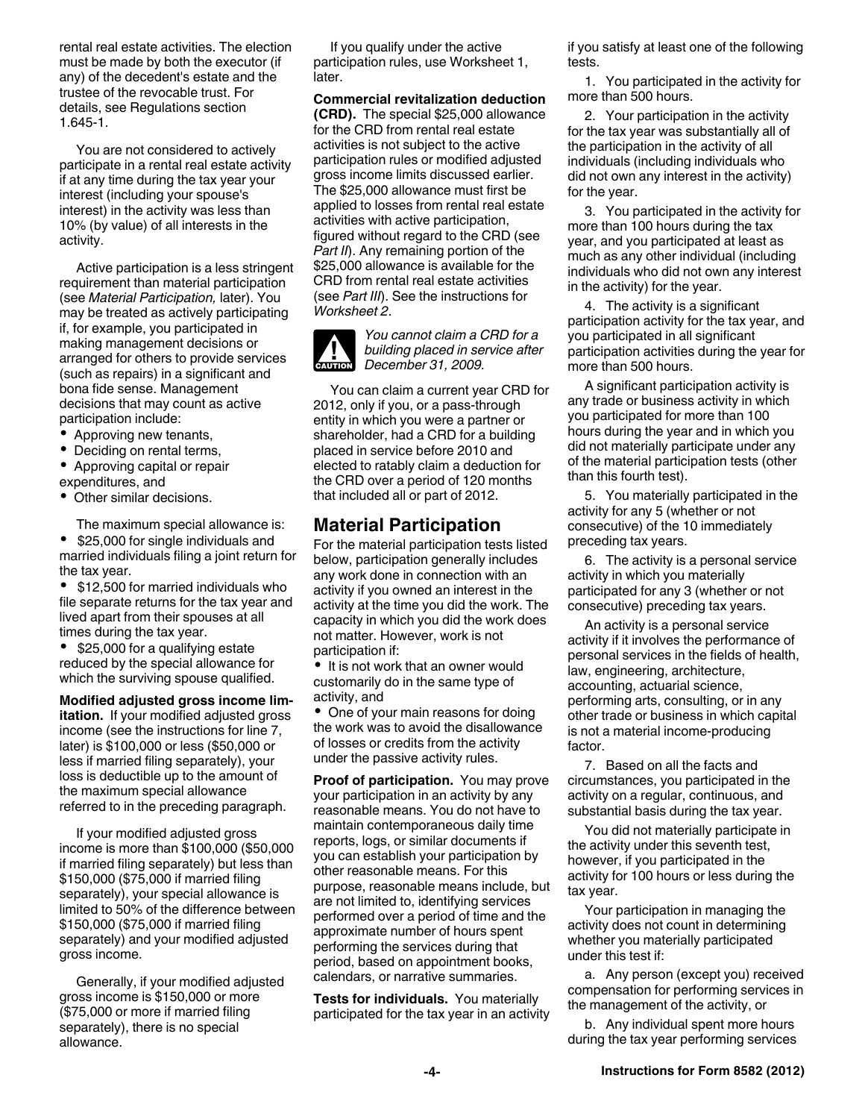rental real estate activities. The election must be made by both the executor (if any) of the decedent's estate and the trustee of the revocable trust. For details, see Regulations section 1.645-1.

You are not considered to actively participate in a rental real estate activity if at any time during the tax year your interest (including your spouse's interest) in the activity was less than 10% (by value) of all interests in the activity.

Active participation is a less stringent requirement than material participation (see *Material Participation,* later). You may be treated as actively participating if, for example, you participated in making management decisions or arranged for others to provide services (such as repairs) in a significant and bona fide sense. Management decisions that may count as active participation include:

- Approving new tenants,
- Deciding on rental terms,
- Approving capital or repair expenditures, and
- Other similar decisions.

The maximum special allowance is:

 $\bullet$  \$25,000 for single individuals and married individuals filing a joint return for the tax year.

• \$12,500 for married individuals who file separate returns for the tax year and lived apart from their spouses at all times during the tax year.

• \$25,000 for a qualifying estate reduced by the special allowance for which the surviving spouse qualified.

**Modified adjusted gross income limitation.** If your modified adjusted gross income (see the instructions for line 7, later) is \$100,000 or less (\$50,000 or less if married filing separately), your loss is deductible up to the amount of the maximum special allowance referred to in the preceding paragraph.

If your modified adjusted gross income is more than \$100,000 (\$50,000 if married filing separately) but less than \$150,000 (\$75,000 if married filing separately), your special allowance is limited to 50% of the difference between \$150,000 (\$75,000 if married filing separately) and your modified adjusted gross income.

Generally, if your modified adjusted gross income is \$150,000 or more (\$75,000 or more if married filing separately), there is no special allowance.

If you qualify under the active participation rules, use Worksheet 1, later.

**Commercial revitalization deduction (CRD).** The special \$25,000 allowance for the CRD from rental real estate activities is not subject to the active participation rules or modified adjusted gross income limits discussed earlier. The \$25,000 allowance must first be applied to losses from rental real estate activities with active participation, figured without regard to the CRD (see *Part II*). Any remaining portion of the \$25,000 allowance is available for the CRD from rental real estate activities (see *Part III*). See the instructions for *Worksheet 2*.



*You cannot claim a CRD for a building placed in service after*  **building placed in se**<br> **December 31, 2009.** 

You can claim a current year CRD for 2012, only if you, or a pass-through entity in which you were a partner or shareholder, had a CRD for a building placed in service before 2010 and elected to ratably claim a deduction for the CRD over a period of 120 months that included all or part of 2012.

## **Material Participation**

For the material participation tests listed below, participation generally includes any work done in connection with an activity if you owned an interest in the activity at the time you did the work. The capacity in which you did the work does not matter. However, work is not participation if:

• It is not work that an owner would customarily do in the same type of activity, and

• One of your main reasons for doing the work was to avoid the disallowance of losses or credits from the activity under the passive activity rules.

**Proof of participation.** You may prove your participation in an activity by any reasonable means. You do not have to maintain contemporaneous daily time reports, logs, or similar documents if you can establish your participation by other reasonable means. For this purpose, reasonable means include, but are not limited to, identifying services performed over a period of time and the approximate number of hours spent performing the services during that period, based on appointment books, calendars, or narrative summaries.

**Tests for individuals.** You materially participated for the tax year in an activity if you satisfy at least one of the following tests.

1. You participated in the activity for more than 500 hours.

2. Your participation in the activity for the tax year was substantially all of the participation in the activity of all individuals (including individuals who did not own any interest in the activity) for the year.

3. You participated in the activity for more than 100 hours during the tax year, and you participated at least as much as any other individual (including individuals who did not own any interest in the activity) for the year.

4. The activity is a significant participation activity for the tax year, and you participated in all significant participation activities during the year for more than 500 hours.

A significant participation activity is any trade or business activity in which you participated for more than 100 hours during the year and in which you did not materially participate under any of the material participation tests (other than this fourth test).

5. You materially participated in the activity for any 5 (whether or not consecutive) of the 10 immediately preceding tax years.

6. The activity is a personal service activity in which you materially participated for any 3 (whether or not consecutive) preceding tax years.

An activity is a personal service activity if it involves the performance of personal services in the fields of health, law, engineering, architecture, accounting, actuarial science, performing arts, consulting, or in any other trade or business in which capital is not a material income-producing factor.

7. Based on all the facts and circumstances, you participated in the activity on a regular, continuous, and substantial basis during the tax year.

You did not materially participate in the activity under this seventh test, however, if you participated in the activity for 100 hours or less during the tax year.

Your participation in managing the activity does not count in determining whether you materially participated under this test if:

a. Any person (except you) received compensation for performing services in the management of the activity, or

b. Any individual spent more hours during the tax year performing services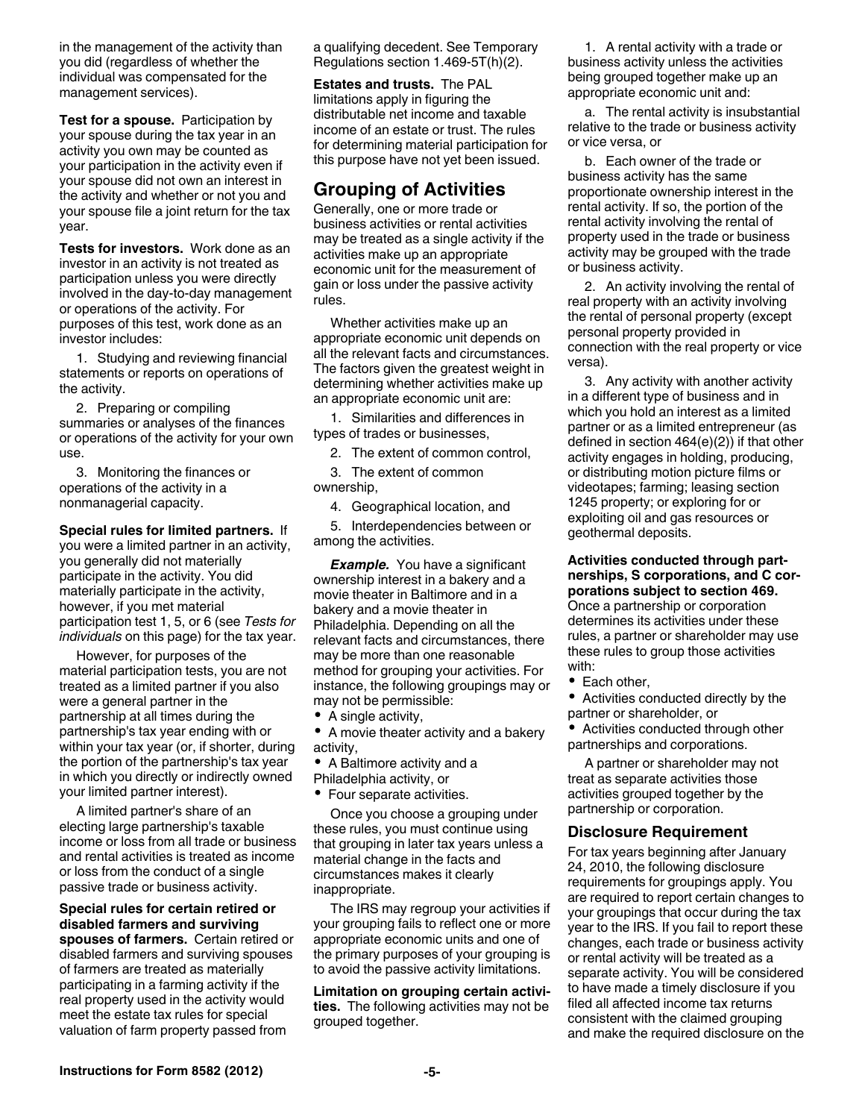in the management of the activity than you did (regardless of whether the individual was compensated for the management services).

**Test for a spouse.** Participation by your spouse during the tax year in an activity you own may be counted as your participation in the activity even if your spouse did not own an interest in the activity and whether or not you and your spouse file a joint return for the tax year.

**Tests for investors.** Work done as an investor in an activity is not treated as participation unless you were directly involved in the day-to-day management or operations of the activity. For purposes of this test, work done as an investor includes:

1. Studying and reviewing financial statements or reports on operations of the activity.

2. Preparing or compiling summaries or analyses of the finances or operations of the activity for your own use.

3. Monitoring the finances or operations of the activity in a nonmanagerial capacity.

**Special rules for limited partners.** If

you were a limited partner in an activity, you generally did not materially participate in the activity. You did materially participate in the activity, however, if you met material participation test 1, 5, or 6 (see *Tests for individuals* on this page) for the tax year.

However, for purposes of the material participation tests, you are not treated as a limited partner if you also were a general partner in the partnership at all times during the partnership's tax year ending with or within your tax year (or, if shorter, during the portion of the partnership's tax year in which you directly or indirectly owned your limited partner interest).

A limited partner's share of an electing large partnership's taxable income or loss from all trade or business and rental activities is treated as income or loss from the conduct of a single passive trade or business activity.

**Special rules for certain retired or disabled farmers and surviving spouses of farmers.** Certain retired or disabled farmers and surviving spouses of farmers are treated as materially participating in a farming activity if the real property used in the activity would meet the estate tax rules for special valuation of farm property passed from

a qualifying decedent. See Temporary Regulations section 1.469-5T(h)(2).

**Estates and trusts.** The PAL limitations apply in figuring the distributable net income and taxable income of an estate or trust. The rules for determining material participation for this purpose have not yet been issued.

## **Grouping of Activities**

Generally, one or more trade or business activities or rental activities may be treated as a single activity if the activities make up an appropriate economic unit for the measurement of gain or loss under the passive activity rules.

Whether activities make up an appropriate economic unit depends on all the relevant facts and circumstances. The factors given the greatest weight in determining whether activities make up an appropriate economic unit are:

1. Similarities and differences in types of trades or businesses,

2. The extent of common control,

3. The extent of common ownership,

4. Geographical location, and

5. Interdependencies between or among the activities.

*Example.* You have a significant ownership interest in a bakery and a movie theater in Baltimore and in a bakery and a movie theater in Philadelphia. Depending on all the relevant facts and circumstances, there may be more than one reasonable method for grouping your activities. For instance, the following groupings may or may not be permissible:

- A single activity,
- A movie theater activity and a bakery activity,
- A Baltimore activity and a
- Philadelphia activity, or
- Four separate activities.

Once you choose a grouping under these rules, you must continue using that grouping in later tax years unless a material change in the facts and circumstances makes it clearly inappropriate.

The IRS may regroup your activities if your grouping fails to reflect one or more appropriate economic units and one of the primary purposes of your grouping is to avoid the passive activity limitations.

**Limitation on grouping certain activities.** The following activities may not be grouped together.

1. A rental activity with a trade or business activity unless the activities being grouped together make up an appropriate economic unit and:

a. The rental activity is insubstantial relative to the trade or business activity or vice versa, or

b. Each owner of the trade or business activity has the same proportionate ownership interest in the rental activity. If so, the portion of the rental activity involving the rental of property used in the trade or business activity may be grouped with the trade or business activity.

2. An activity involving the rental of real property with an activity involving the rental of personal property (except personal property provided in connection with the real property or vice versa).

3. Any activity with another activity in a different type of business and in which you hold an interest as a limited partner or as a limited entrepreneur (as defined in section 464(e)(2)) if that other activity engages in holding, producing, or distributing motion picture films or videotapes; farming; leasing section 1245 property; or exploring for or exploiting oil and gas resources or geothermal deposits.

**Activities conducted through partnerships, S corporations, and C corporations subject to section 469.**  Once a partnership or corporation determines its activities under these rules, a partner or shareholder may use these rules to group those activities with:

• Each other,

Activities conducted directly by the partner or shareholder, or

Activities conducted through other partnerships and corporations.

A partner or shareholder may not treat as separate activities those activities grouped together by the partnership or corporation.

#### **Disclosure Requirement**

For tax years beginning after January 24, 2010, the following disclosure requirements for groupings apply. You are required to report certain changes to your groupings that occur during the tax year to the IRS. If you fail to report these changes, each trade or business activity or rental activity will be treated as a separate activity. You will be considered to have made a timely disclosure if you filed all affected income tax returns consistent with the claimed grouping and make the required disclosure on the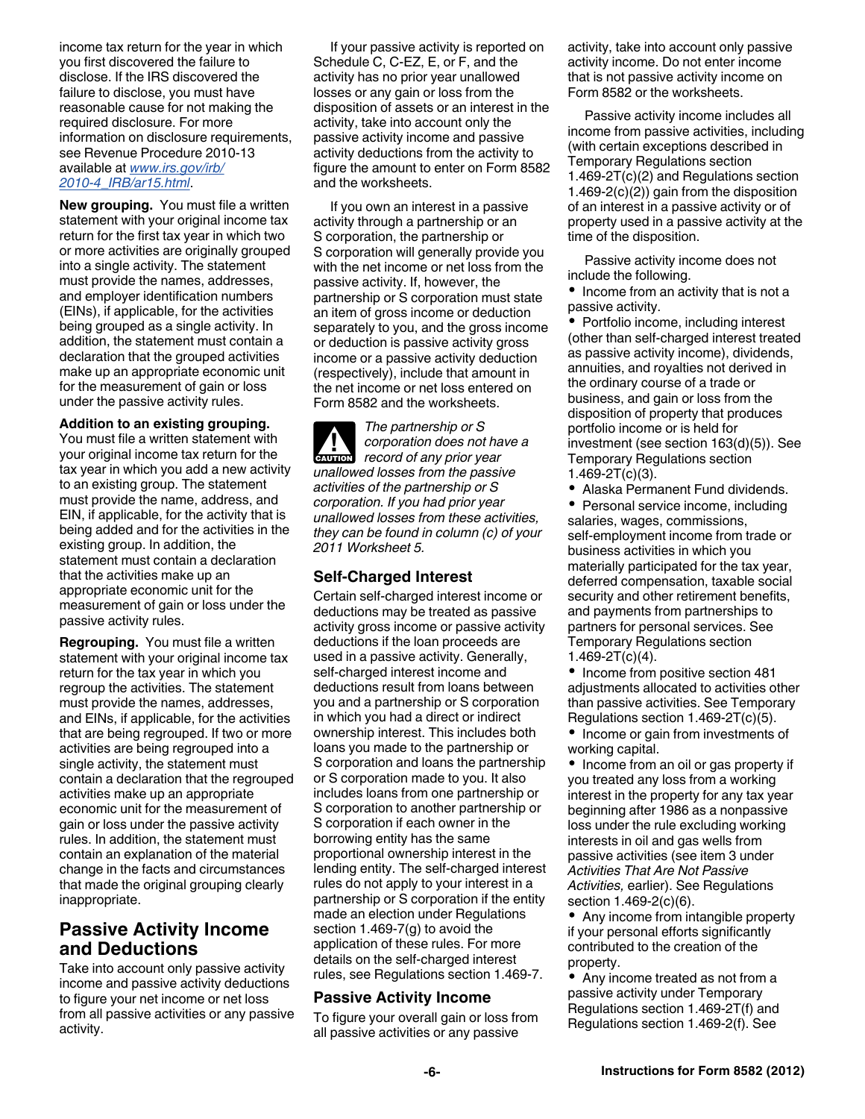income tax return for the year in which you first discovered the failure to disclose. If the IRS discovered the failure to disclose, you must have reasonable cause for not making the required disclosure. For more information on disclosure requirements, see Revenue Procedure 2010-13 available at *[www.irs.gov/irb/](http://www.irs.gov/irb/2010-04_IRB/ar15.html) [2010-4\\_IRB/ar15.html](http://www.irs.gov/irb/2010-04_IRB/ar15.html)*.

**New grouping.** You must file a written statement with your original income tax return for the first tax year in which two or more activities are originally grouped into a single activity. The statement must provide the names, addresses, and employer identification numbers (EINs), if applicable, for the activities being grouped as a single activity. In addition, the statement must contain a declaration that the grouped activities make up an appropriate economic unit for the measurement of gain or loss under the passive activity rules.

#### **Addition to an existing grouping.**

You must file a written statement with your original income tax return for the tax year in which you add a new activity to an existing group. The statement must provide the name, address, and EIN, if applicable, for the activity that is being added and for the activities in the existing group. In addition, the statement must contain a declaration that the activities make up an appropriate economic unit for the measurement of gain or loss under the passive activity rules.

**Regrouping.** You must file a written statement with your original income tax return for the tax year in which you regroup the activities. The statement must provide the names, addresses, and EINs, if applicable, for the activities that are being regrouped. If two or more activities are being regrouped into a single activity, the statement must contain a declaration that the regrouped activities make up an appropriate economic unit for the measurement of gain or loss under the passive activity rules. In addition, the statement must contain an explanation of the material change in the facts and circumstances that made the original grouping clearly inappropriate.

## **Passive Activity Income and Deductions**

Take into account only passive activity income and passive activity deductions to figure your net income or net loss from all passive activities or any passive activity.

If your passive activity is reported on Schedule C, C-EZ, E, or F, and the activity has no prior year unallowed losses or any gain or loss from the disposition of assets or an interest in the activity, take into account only the passive activity income and passive activity deductions from the activity to figure the amount to enter on Form 8582 and the worksheets.

If you own an interest in a passive activity through a partnership or an S corporation, the partnership or S corporation will generally provide you with the net income or net loss from the passive activity. If, however, the partnership or S corporation must state an item of gross income or deduction separately to you, and the gross income or deduction is passive activity gross income or a passive activity deduction (respectively), include that amount in the net income or net loss entered on Form 8582 and the worksheets.

*The partnership or S corporation does not have a record of any prior year unallowed losses from the passive activities of the partnership or S corporation. If you had prior year unallowed losses from these activities, they can be found in column (c) of your 2011 Worksheet 5.* **ALUTION** 

#### **Self-Charged Interest**

Certain self-charged interest income or deductions may be treated as passive activity gross income or passive activity deductions if the loan proceeds are used in a passive activity. Generally, self-charged interest income and deductions result from loans between you and a partnership or S corporation in which you had a direct or indirect ownership interest. This includes both loans you made to the partnership or S corporation and loans the partnership or S corporation made to you. It also includes loans from one partnership or S corporation to another partnership or S corporation if each owner in the borrowing entity has the same proportional ownership interest in the lending entity. The self-charged interest rules do not apply to your interest in a partnership or S corporation if the entity made an election under Regulations section 1.469-7(g) to avoid the application of these rules. For more details on the self-charged interest rules, see Regulations section 1.469-7.

#### **Passive Activity Income**

To figure your overall gain or loss from all passive activities or any passive

activity, take into account only passive activity income. Do not enter income that is not passive activity income on Form 8582 or the worksheets.

Passive activity income includes all income from passive activities, including (with certain exceptions described in Temporary Regulations section 1.469-2T(c)(2) and Regulations section 1.469-2(c)(2)) gain from the disposition of an interest in a passive activity or of property used in a passive activity at the time of the disposition.

Passive activity income does not include the following.

• Income from an activity that is not a passive activity.

Portfolio income, including interest (other than self-charged interest treated as passive activity income), dividends, annuities, and royalties not derived in the ordinary course of a trade or business, and gain or loss from the disposition of property that produces portfolio income or is held for investment (see section 163(d)(5)). See Temporary Regulations section 1.469-2T(c)(3).

Alaska Permanent Fund dividends.

• Personal service income, including salaries, wages, commissions, self-employment income from trade or business activities in which you materially participated for the tax year, deferred compensation, taxable social security and other retirement benefits, and payments from partnerships to partners for personal services. See Temporary Regulations section  $1.469 - 2T(c)(4)$ .

• Income from positive section 481 adjustments allocated to activities other than passive activities. See Temporary Regulations section 1.469-2T(c)(5).

• Income or gain from investments of working capital.

• Income from an oil or gas property if you treated any loss from a working interest in the property for any tax year beginning after 1986 as a nonpassive loss under the rule excluding working interests in oil and gas wells from passive activities (see item 3 under *Activities That Are Not Passive Activities,* earlier). See Regulations section 1.469-2(c)(6).

• Any income from intangible property if your personal efforts significantly contributed to the creation of the property.

Any income treated as not from a passive activity under Temporary Regulations section 1.469-2T(f) and Regulations section 1.469-2(f). See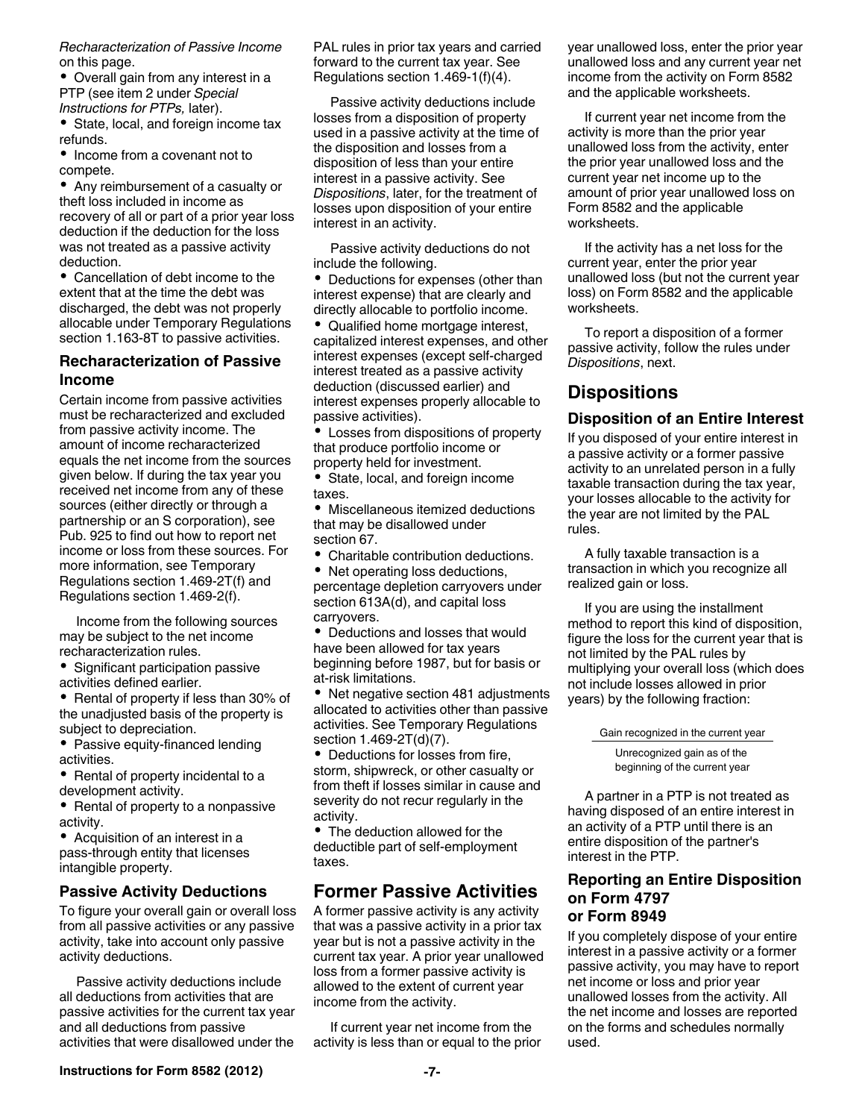*Recharacterization of Passive Income*  on this page.

Overall gain from any interest in a PTP (see item 2 under *Special Instructions for PTPs,* later).

• State, local, and foreign income tax refunds.

• Income from a covenant not to compete.

Any reimbursement of a casualty or theft loss included in income as recovery of all or part of a prior year loss deduction if the deduction for the loss was not treated as a passive activity deduction.

Cancellation of debt income to the extent that at the time the debt was discharged, the debt was not properly allocable under Temporary Regulations section 1.163-8T to passive activities.

#### **Recharacterization of Passive Income**

Certain income from passive activities must be recharacterized and excluded from passive activity income. The amount of income recharacterized equals the net income from the sources given below. If during the tax year you received net income from any of these sources (either directly or through a partnership or an S corporation), see Pub. 925 to find out how to report net income or loss from these sources. For more information, see Temporary Regulations section 1.469-2T(f) and Regulations section 1.469-2(f).

Income from the following sources may be subject to the net income recharacterization rules.

• Significant participation passive activities defined earlier.

• Rental of property if less than 30% of the unadjusted basis of the property is subject to depreciation.

• Passive equity-financed lending activities.

Rental of property incidental to a development activity.

• Rental of property to a nonpassive activity.

Acquisition of an interest in a pass-through entity that licenses intangible property.

#### **Passive Activity Deductions**

To figure your overall gain or overall loss from all passive activities or any passive activity, take into account only passive activity deductions.

Passive activity deductions include all deductions from activities that are passive activities for the current tax year and all deductions from passive activities that were disallowed under the

PAL rules in prior tax years and carried forward to the current tax year. See Regulations section 1.469-1(f)(4).

Passive activity deductions include losses from a disposition of property used in a passive activity at the time of the disposition and losses from a disposition of less than your entire interest in a passive activity. See *Dispositions*, later, for the treatment of losses upon disposition of your entire interest in an activity.

Passive activity deductions do not include the following.

• Deductions for expenses (other than interest expense) that are clearly and directly allocable to portfolio income.

Qualified home mortgage interest, capitalized interest expenses, and other interest expenses (except self-charged interest treated as a passive activity deduction (discussed earlier) and interest expenses properly allocable to passive activities).

Losses from dispositions of property that produce portfolio income or property held for investment.

State, local, and foreign income taxes.

Miscellaneous itemized deductions that may be disallowed under section 67.

Charitable contribution deductions.

• Net operating loss deductions, percentage depletion carryovers under section 613A(d), and capital loss carryovers.

Deductions and losses that would have been allowed for tax years beginning before 1987, but for basis or at-risk limitations.

• Net negative section 481 adjustments allocated to activities other than passive activities. See Temporary Regulations section 1.469-2T(d)(7).

Deductions for losses from fire, storm, shipwreck, or other casualty or from theft if losses similar in cause and severity do not recur regularly in the activity.

• The deduction allowed for the deductible part of self-employment taxes.

## **Former Passive Activities**

A former passive activity is any activity that was a passive activity in a prior tax year but is not a passive activity in the current tax year. A prior year unallowed loss from a former passive activity is allowed to the extent of current year income from the activity.

If current year net income from the activity is less than or equal to the prior year unallowed loss, enter the prior year unallowed loss and any current year net income from the activity on Form 8582 and the applicable worksheets.

If current year net income from the activity is more than the prior year unallowed loss from the activity, enter the prior year unallowed loss and the current year net income up to the amount of prior year unallowed loss on Form 8582 and the applicable worksheets.

If the activity has a net loss for the current year, enter the prior year unallowed loss (but not the current year loss) on Form 8582 and the applicable worksheets.

To report a disposition of a former passive activity, follow the rules under *Dispositions*, next.

## **Dispositions**

#### **Disposition of an Entire Interest**

If you disposed of your entire interest in a passive activity or a former passive activity to an unrelated person in a fully taxable transaction during the tax year, your losses allocable to the activity for the year are not limited by the PAL rules.

A fully taxable transaction is a transaction in which you recognize all realized gain or loss.

If you are using the installment method to report this kind of disposition, figure the loss for the current year that is not limited by the PAL rules by multiplying your overall loss (which does not include losses allowed in prior years) by the following fraction:

Gain recognized in the current year

Unrecognized gain as of the beginning of the current year

A partner in a PTP is not treated as having disposed of an entire interest in an activity of a PTP until there is an entire disposition of the partner's interest in the PTP.

#### **Reporting an Entire Disposition on Form 4797 or Form 8949**

If you completely dispose of your entire interest in a passive activity or a former passive activity, you may have to report net income or loss and prior year unallowed losses from the activity. All the net income and losses are reported on the forms and schedules normally used.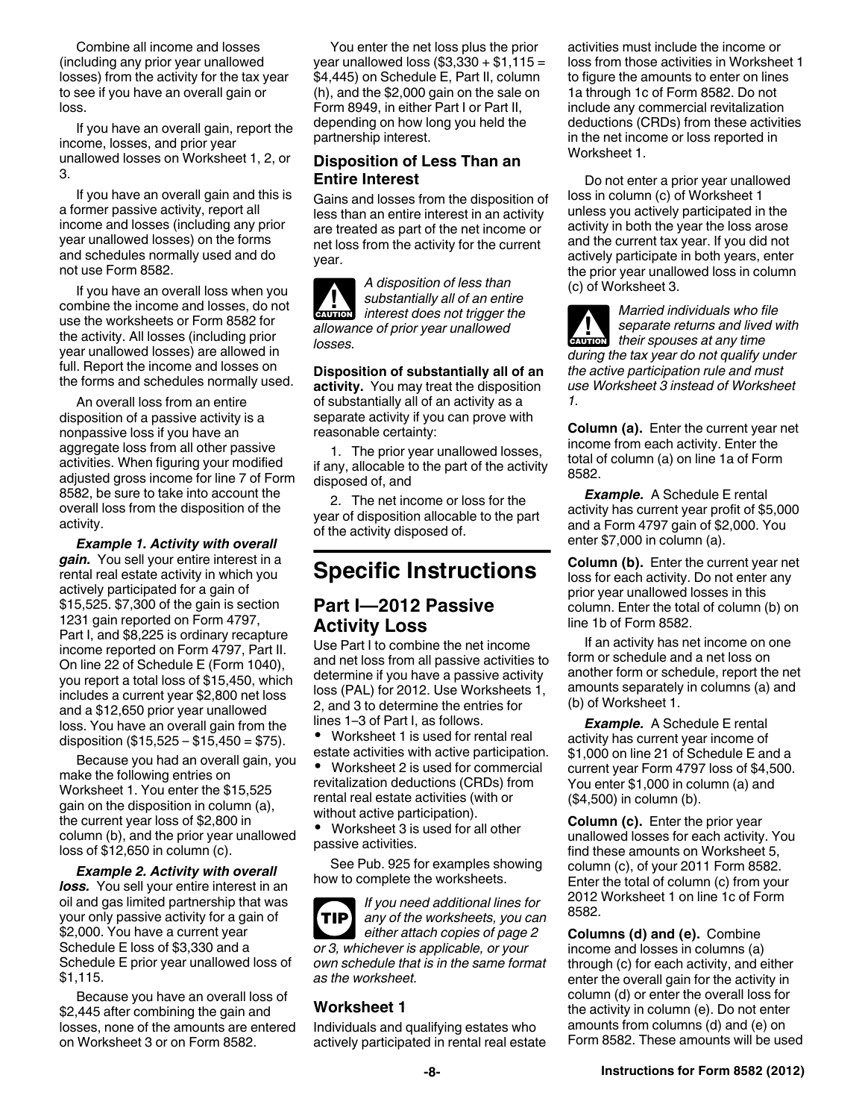Combine all income and losses (including any prior year unallowed losses) from the activity for the tax year to see if you have an overall gain or loss.

If you have an overall gain, report the income, losses, and prior year unallowed losses on Worksheet 1, 2, or 3.

If you have an overall gain and this is a former passive activity, report all income and losses (including any prior year unallowed losses) on the forms and schedules normally used and do not use Form 8582.

If you have an overall loss when you combine the income and losses, do not use the worksheets or Form 8582 for the activity. All losses (including prior year unallowed losses) are allowed in full. Report the income and losses on the forms and schedules normally used.

An overall loss from an entire disposition of a passive activity is a nonpassive loss if you have an aggregate loss from all other passive activities. When figuring your modified adjusted gross income for line 7 of Form 8582, be sure to take into account the overall loss from the disposition of the activity.

*Example 1. Activity with overall gain.* You sell your entire interest in a rental real estate activity in which you actively participated for a gain of \$15,525. \$7,300 of the gain is section 1231 gain reported on Form 4797, Part I, and \$8,225 is ordinary recapture income reported on Form 4797, Part II. On line 22 of Schedule E (Form 1040), you report a total loss of \$15,450, which includes a current year \$2,800 net loss and a \$12,650 prior year unallowed loss. You have an overall gain from the disposition  $(\$15,525 - \$15,450 = \$75)$ .

Because you had an overall gain, you make the following entries on Worksheet 1. You enter the \$15,525 gain on the disposition in column (a), the current year loss of \$2,800 in column (b), and the prior year unallowed loss of \$12,650 in column (c).

*Example 2. Activity with overall loss.* You sell your entire interest in an oil and gas limited partnership that was your only passive activity for a gain of \$2,000. You have a current year Schedule E loss of \$3,330 and a Schedule E prior year unallowed loss of \$1,115.

Because you have an overall loss of \$2,445 after combining the gain and losses, none of the amounts are entered on Worksheet 3 or on Form 8582.

You enter the net loss plus the prior year unallowed loss (\$3,330 + \$1,115 = \$4,445) on Schedule E, Part II, column (h), and the \$2,000 gain on the sale on Form 8949, in either Part I or Part II, depending on how long you held the partnership interest.

#### **Disposition of Less Than an Entire Interest**

Gains and losses from the disposition of less than an entire interest in an activity are treated as part of the net income or net loss from the activity for the current year.

**ALUTION** 

*A disposition of less than substantially all of an entire interest does not trigger the allowance of prior year unallowed losses.*

**Disposition of substantially all of an activity.** You may treat the disposition of substantially all of an activity as a separate activity if you can prove with reasonable certainty:

1. The prior year unallowed losses, if any, allocable to the part of the activity disposed of, and

2. The net income or loss for the year of disposition allocable to the part of the activity disposed of.

# **Specific Instructions**

## **Part I—2012 Passive Activity Loss**

Use Part I to combine the net income and net loss from all passive activities to determine if you have a passive activity loss (PAL) for 2012. Use Worksheets 1, 2, and 3 to determine the entries for lines 1–3 of Part I, as follows.

 Worksheet 1 is used for rental real estate activities with active participation.

 Worksheet 2 is used for commercial revitalization deductions (CRDs) from rental real estate activities (with or without active participation).

 Worksheet 3 is used for all other passive activities.

See Pub. 925 for examples showing how to complete the worksheets.

*If you need additional lines for any of the worksheets, you can either attach copies of page 2 or 3, whichever is applicable, or your own schedule that is in the same format as the worksheet.* **TIP**

## **Worksheet 1**

Individuals and qualifying estates who actively participated in rental real estate activities must include the income or loss from those activities in Worksheet 1 to figure the amounts to enter on lines 1a through 1c of Form 8582. Do not include any commercial revitalization deductions (CRDs) from these activities in the net income or loss reported in Worksheet 1.

Do not enter a prior year unallowed loss in column (c) of Worksheet 1 unless you actively participated in the activity in both the year the loss arose and the current tax year. If you did not actively participate in both years, enter the prior year unallowed loss in column (c) of Worksheet 3.

*Married individuals who file separate returns and lived with their spouses at any time during the tax year do not qualify under the active participation rule and must use Worksheet 3 instead of Worksheet 1.* **ALUTION** 

**Column (a).** Enter the current year net income from each activity. Enter the total of column (a) on line 1a of Form 8582.

*Example.* A Schedule E rental activity has current year profit of \$5,000 and a Form 4797 gain of \$2,000. You enter \$7,000 in column (a).

**Column (b).** Enter the current year net loss for each activity. Do not enter any prior year unallowed losses in this column. Enter the total of column (b) on line 1b of Form 8582.

If an activity has net income on one form or schedule and a net loss on another form or schedule, report the net amounts separately in columns (a) and (b) of Worksheet 1.

*Example.* A Schedule E rental activity has current year income of \$1,000 on line 21 of Schedule E and a current year Form 4797 loss of \$4,500. You enter \$1,000 in column (a) and (\$4,500) in column (b).

**Column (c).** Enter the prior year unallowed losses for each activity. You find these amounts on Worksheet 5, column (c), of your 2011 Form 8582. Enter the total of column (c) from your 2012 Worksheet 1 on line 1c of Form 8582.

**Columns (d) and (e).** Combine income and losses in columns (a) through (c) for each activity, and either enter the overall gain for the activity in column (d) or enter the overall loss for the activity in column (e). Do not enter amounts from columns (d) and (e) on Form 8582. These amounts will be used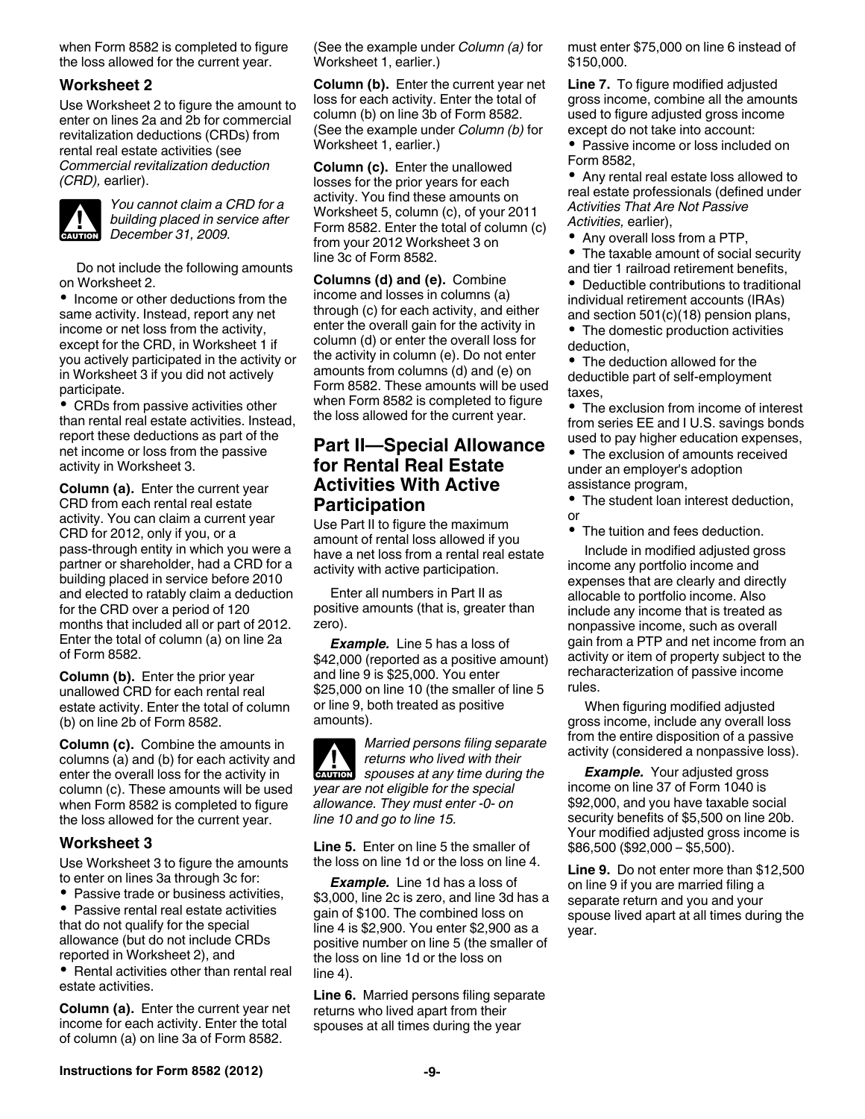when Form 8582 is completed to figure the loss allowed for the current year.

#### **Worksheet 2**

Use Worksheet 2 to figure the amount to enter on lines 2a and 2b for commercial revitalization deductions (CRDs) from rental real estate activities (see *Commercial revitalization deduction (CRD),* earlier).



*You cannot claim a CRD for a building placed in service after*  **building placed in se**<br> **December 31, 2009.** 

Do not include the following amounts on Worksheet 2.

• Income or other deductions from the same activity. Instead, report any net income or net loss from the activity, except for the CRD, in Worksheet 1 if you actively participated in the activity or in Worksheet 3 if you did not actively participate.

• CRDs from passive activities other than rental real estate activities. Instead, report these deductions as part of the net income or loss from the passive activity in Worksheet 3.

**Column (a).** Enter the current year CRD from each rental real estate activity. You can claim a current year CRD for 2012, only if you, or a pass-through entity in which you were a partner or shareholder, had a CRD for a building placed in service before 2010 and elected to ratably claim a deduction for the CRD over a period of 120 months that included all or part of 2012. Enter the total of column (a) on line 2a of Form 8582.

**Column (b).** Enter the prior year unallowed CRD for each rental real estate activity. Enter the total of column (b) on line 2b of Form 8582.

**Column (c).** Combine the amounts in columns (a) and (b) for each activity and enter the overall loss for the activity in column (c). These amounts will be used when Form 8582 is completed to figure the loss allowed for the current year.

#### **Worksheet 3**

Use Worksheet 3 to figure the amounts to enter on lines 3a through 3c for:

• Passive trade or business activities, Passive rental real estate activities that do not qualify for the special allowance (but do not include CRDs reported in Worksheet 2), and

• Rental activities other than rental real estate activities.

**Column (a).** Enter the current year net income for each activity. Enter the total of column (a) on line 3a of Form 8582.

(See the example under *Column (a)* for Worksheet 1, earlier.)

**Column (b).** Enter the current year net loss for each activity. Enter the total of column (b) on line 3b of Form 8582. (See the example under *Column (b)* for Worksheet 1, earlier.)

**Column (c).** Enter the unallowed losses for the prior years for each activity. You find these amounts on Worksheet 5, column (c), of your 2011 Form 8582. Enter the total of column (c) from your 2012 Worksheet 3 on line 3c of Form 8582.

**Columns (d) and (e).** Combine income and losses in columns (a) through (c) for each activity, and either enter the overall gain for the activity in column (d) or enter the overall loss for the activity in column (e). Do not enter amounts from columns (d) and (e) on Form 8582. These amounts will be used when Form 8582 is completed to figure the loss allowed for the current year.

## **Part II—Special Allowance for Rental Real Estate Activities With Active Participation**

Use Part II to figure the maximum amount of rental loss allowed if you have a net loss from a rental real estate activity with active participation.

Enter all numbers in Part II as positive amounts (that is, greater than zero).

*Example.* Line 5 has a loss of \$42,000 (reported as a positive amount) and line 9 is \$25,000. You enter \$25,000 on line 10 (the smaller of line 5 or line 9, both treated as positive amounts).

*Married persons filing separate returns who lived with their*  **z** *spouses at any time during the spouses at any time during the year are not eligible for the special allowance. They must enter -0- on line 10 and go to line 15.*

**Line 5.** Enter on line 5 the smaller of the loss on line 1d or the loss on line 4.

*Example.* Line 1d has a loss of \$3,000, line 2c is zero, and line 3d has a gain of \$100. The combined loss on line 4 is \$2,900. You enter \$2,900 as a positive number on line 5 (the smaller of the loss on line 1d or the loss on line 4).

**Line 6.** Married persons filing separate returns who lived apart from their spouses at all times during the year

must enter \$75,000 on line 6 instead of \$150,000.

**Line 7.** To figure modified adjusted gross income, combine all the amounts used to figure adjusted gross income except do not take into account:

• Passive income or loss included on Form 8582,

Any rental real estate loss allowed to real estate professionals (defined under *Activities That Are Not Passive Activities,* earlier),

Any overall loss from a PTP,

• The taxable amount of social security and tier 1 railroad retirement benefits,

Deductible contributions to traditional individual retirement accounts (IRAs) and section 501(c)(18) pension plans,

• The domestic production activities deduction,

• The deduction allowed for the deductible part of self-employment taxes,

The exclusion from income of interest from series EE and I U.S. savings bonds used to pay higher education expenses,

The exclusion of amounts received under an employer's adoption assistance program,

• The student loan interest deduction, or

The tuition and fees deduction.

Include in modified adjusted gross income any portfolio income and expenses that are clearly and directly allocable to portfolio income. Also include any income that is treated as nonpassive income, such as overall gain from a PTP and net income from an activity or item of property subject to the recharacterization of passive income rules.

When figuring modified adjusted gross income, include any overall loss from the entire disposition of a passive activity (considered a nonpassive loss).

*Example.* Your adjusted gross income on line 37 of Form 1040 is \$92,000, and you have taxable social security benefits of \$5,500 on line 20b. Your modified adjusted gross income is \$86,500 (\$92,000 – \$5,500).

**Line 9.** Do not enter more than \$12,500 on line 9 if you are married filing a separate return and you and your spouse lived apart at all times during the year.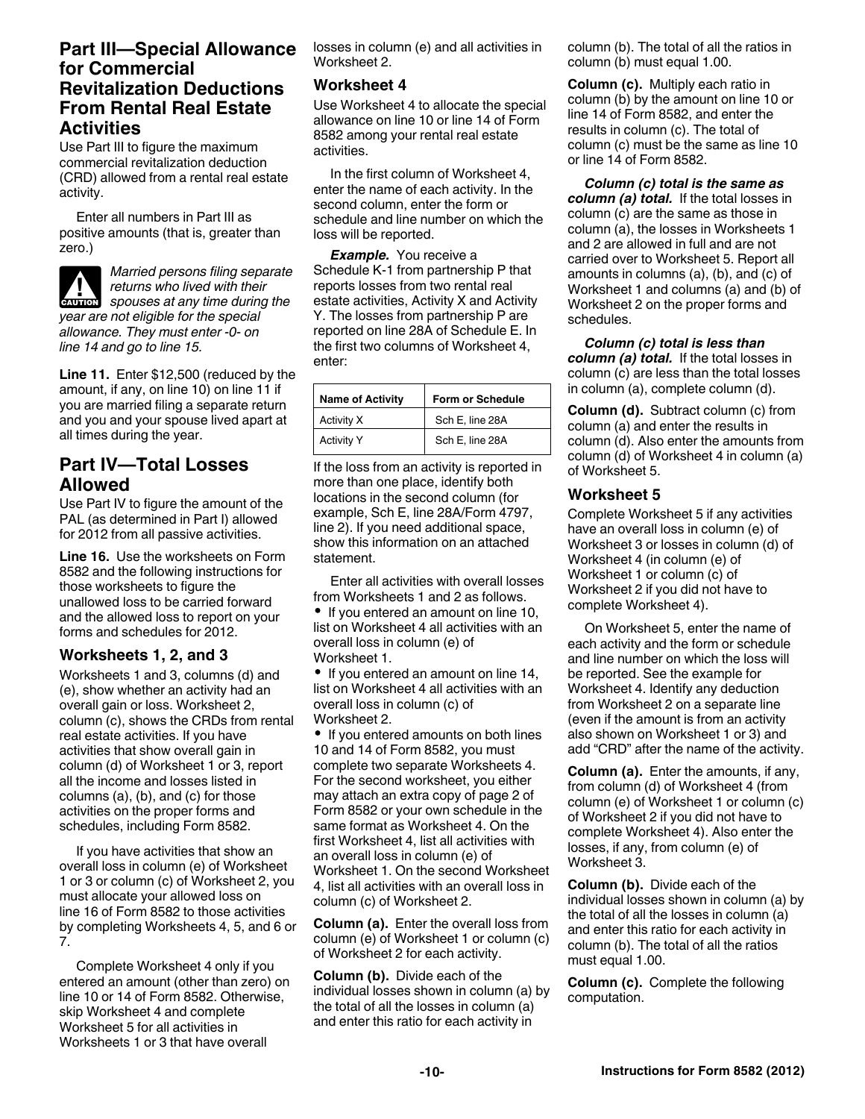## **Part III—Special Allowance for Commercial Revitalization Deductions From Rental Real Estate Activities**

Use Part III to figure the maximum commercial revitalization deduction (CRD) allowed from a rental real estate activity.

Enter all numbers in Part III as positive amounts (that is, greater than zero.)

*Married persons filing separate returns who lived with their*  **z** *spouses at any time during the spouses at any time during the year are not eligible for the special allowance. They must enter -0- on line 14 and go to line 15.*

**Line 11.** Enter \$12,500 (reduced by the amount, if any, on line 10) on line 11 if you are married filing a separate return and you and your spouse lived apart at all times during the year.

# **Part IV—Total Losses Allowed**

Use Part IV to figure the amount of the PAL (as determined in Part I) allowed for 2012 from all passive activities.

**Line 16.** Use the worksheets on Form 8582 and the following instructions for those worksheets to figure the unallowed loss to be carried forward and the allowed loss to report on your forms and schedules for 2012.

## **Worksheets 1, 2, and 3**

Worksheets 1 and 3, columns (d) and (e), show whether an activity had an overall gain or loss. Worksheet 2, column (c), shows the CRDs from rental real estate activities. If you have activities that show overall gain in column (d) of Worksheet 1 or 3, report all the income and losses listed in columns (a), (b), and (c) for those activities on the proper forms and schedules, including Form 8582.

If you have activities that show an overall loss in column (e) of Worksheet 1 or 3 or column (c) of Worksheet 2, you must allocate your allowed loss on line 16 of Form 8582 to those activities by completing Worksheets 4, 5, and 6 or 7.

Complete Worksheet 4 only if you entered an amount (other than zero) on line 10 or 14 of Form 8582. Otherwise, skip Worksheet 4 and complete Worksheet 5 for all activities in Worksheets 1 or 3 that have overall

losses in column (e) and all activities in Worksheet 2.

#### **Worksheet 4**

Use Worksheet 4 to allocate the special allowance on line 10 or line 14 of Form 8582 among your rental real estate activities.

In the first column of Worksheet 4, enter the name of each activity. In the second column, enter the form or schedule and line number on which the loss will be reported.

*Example.* You receive a Schedule K-1 from partnership P that reports losses from two rental real estate activities, Activity X and Activity Y. The losses from partnership P are reported on line 28A of Schedule E. In the first two columns of Worksheet 4, enter:

| <b>Name of Activity</b> | Form or Schedule |
|-------------------------|------------------|
| Activity X              | Sch E, line 28A  |
| <b>Activity Y</b>       | Sch E, line 28A  |

If the loss from an activity is reported in more than one place, identify both locations in the second column (for example, Sch E, line 28A/Form 4797, line 2). If you need additional space, show this information on an attached statement.

Enter all activities with overall losses from Worksheets 1 and 2 as follows. • If you entered an amount on line 10. list on Worksheet 4 all activities with an overall loss in column (e) of

Worksheet 1.

If you entered an amount on line 14, list on Worksheet 4 all activities with an overall loss in column (c) of Worksheet 2.

• If you entered amounts on both lines 10 and 14 of Form 8582, you must complete two separate Worksheets 4. For the second worksheet, you either may attach an extra copy of page 2 of Form 8582 or your own schedule in the same format as Worksheet 4. On the first Worksheet 4, list all activities with an overall loss in column (e) of Worksheet 1. On the second Worksheet 4, list all activities with an overall loss in column (c) of Worksheet 2.

**Column (a).** Enter the overall loss from column (e) of Worksheet 1 or column (c) of Worksheet 2 for each activity.

**Column (b).** Divide each of the individual losses shown in column (a) by the total of all the losses in column (a) and enter this ratio for each activity in

column (b). The total of all the ratios in column (b) must equal 1.00.

**Column (c).** Multiply each ratio in column (b) by the amount on line 10 or line 14 of Form 8582, and enter the results in column (c). The total of column (c) must be the same as line 10 or line 14 of Form 8582.

*Column (c) total is the same as column (a) total.* If the total losses in column (c) are the same as those in column (a), the losses in Worksheets 1 and 2 are allowed in full and are not carried over to Worksheet 5. Report all amounts in columns (a), (b), and (c) of Worksheet 1 and columns (a) and (b) of Worksheet 2 on the proper forms and schedules.

*Column (c) total is less than column (a) total.* If the total losses in column (c) are less than the total losses in column (a), complete column (d).

**Column (d).** Subtract column (c) from column (a) and enter the results in column (d). Also enter the amounts from column (d) of Worksheet 4 in column (a) of Worksheet 5.

#### **Worksheet 5**

Complete Worksheet 5 if any activities have an overall loss in column (e) of Worksheet 3 or losses in column (d) of Worksheet 4 (in column (e) of Worksheet 1 or column (c) of Worksheet 2 if you did not have to complete Worksheet 4).

On Worksheet 5, enter the name of each activity and the form or schedule and line number on which the loss will be reported. See the example for Worksheet 4. Identify any deduction from Worksheet 2 on a separate line (even if the amount is from an activity also shown on Worksheet 1 or 3) and add "CRD" after the name of the activity.

**Column (a).** Enter the amounts, if any, from column (d) of Worksheet 4 (from column (e) of Worksheet 1 or column (c) of Worksheet 2 if you did not have to complete Worksheet 4). Also enter the losses, if any, from column (e) of Worksheet 3.

**Column (b).** Divide each of the individual losses shown in column (a) by the total of all the losses in column (a) and enter this ratio for each activity in column (b). The total of all the ratios must equal 1.00.

**Column (c).** Complete the following computation.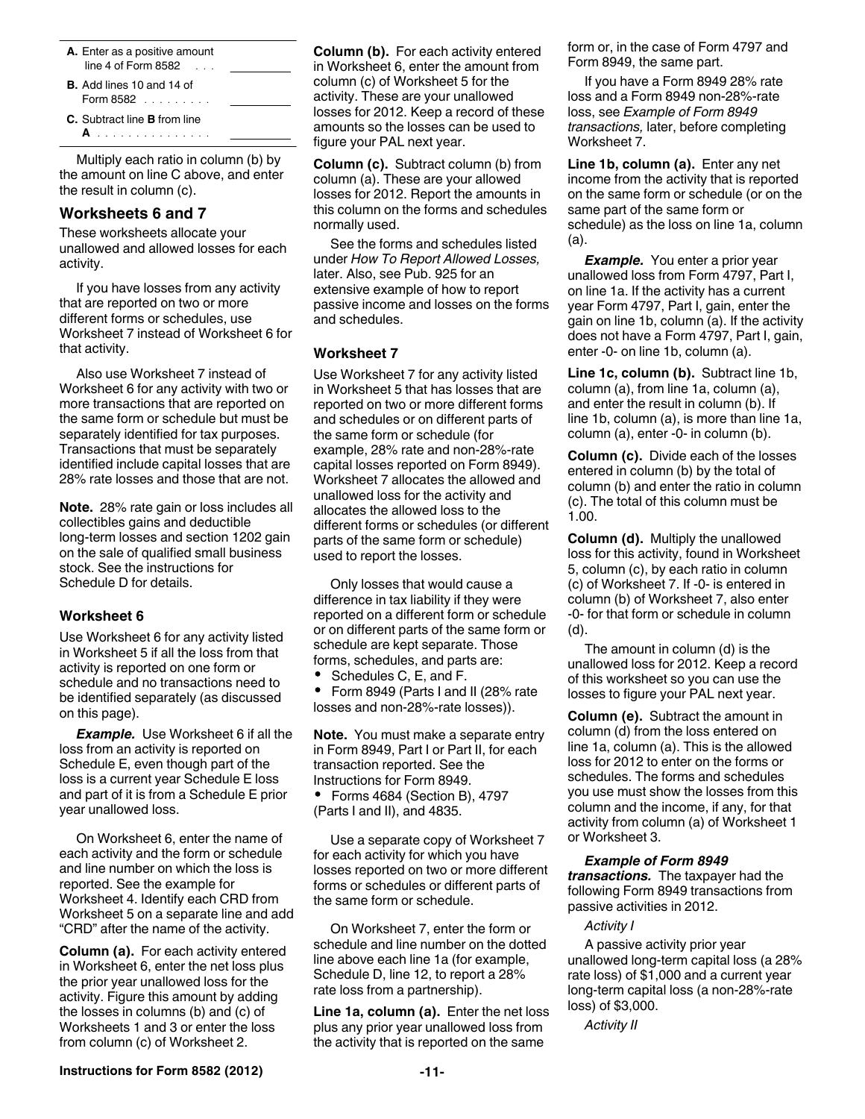| A. Enter as a positive amount<br>line 4 of Form 8582<br><b>Contract</b>     |  |
|-----------------------------------------------------------------------------|--|
| <b>B.</b> Add lines 10 and 14 of<br>Form $8582$                             |  |
| <b>C.</b> Subtract line <b>B</b> from line<br>and a straight and a straight |  |

Multiply each ratio in column (b) by the amount on line C above, and enter the result in column (c).

#### **Worksheets 6 and 7**

These worksheets allocate your unallowed and allowed losses for each activity.

If you have losses from any activity that are reported on two or more different forms or schedules, use Worksheet 7 instead of Worksheet 6 for that activity.

Also use Worksheet 7 instead of Worksheet 6 for any activity with two or more transactions that are reported on the same form or schedule but must be separately identified for tax purposes. Transactions that must be separately identified include capital losses that are 28% rate losses and those that are not.

**Note.** 28% rate gain or loss includes all collectibles gains and deductible long-term losses and section 1202 gain on the sale of qualified small business stock. See the instructions for Schedule D for details.

#### **Worksheet 6**

Use Worksheet 6 for any activity listed in Worksheet 5 if all the loss from that activity is reported on one form or schedule and no transactions need to be identified separately (as discussed on this page).

*Example.* Use Worksheet 6 if all the loss from an activity is reported on Schedule E, even though part of the loss is a current year Schedule E loss and part of it is from a Schedule E prior year unallowed loss.

On Worksheet 6, enter the name of each activity and the form or schedule and line number on which the loss is reported. See the example for Worksheet 4. Identify each CRD from Worksheet 5 on a separate line and add "CRD" after the name of the activity.

**Column (a).** For each activity entered in Worksheet 6, enter the net loss plus the prior year unallowed loss for the activity. Figure this amount by adding the losses in columns (b) and (c) of Worksheets 1 and 3 or enter the loss from column (c) of Worksheet 2.

**Column (b).** For each activity entered in Worksheet 6, enter the amount from column (c) of Worksheet 5 for the activity. These are your unallowed losses for 2012. Keep a record of these amounts so the losses can be used to figure your PAL next year.

**Column (c).** Subtract column (b) from column (a). These are your allowed losses for 2012. Report the amounts in this column on the forms and schedules normally used.

See the forms and schedules listed under *How To Report Allowed Losses,*  later. Also, see Pub. 925 for an extensive example of how to report passive income and losses on the forms and schedules.

#### **Worksheet 7**

Use Worksheet 7 for any activity listed in Worksheet 5 that has losses that are reported on two or more different forms and schedules or on different parts of the same form or schedule (for example, 28% rate and non-28%-rate capital losses reported on Form 8949). Worksheet 7 allocates the allowed and unallowed loss for the activity and allocates the allowed loss to the different forms or schedules (or different parts of the same form or schedule) used to report the losses.

Only losses that would cause a difference in tax liability if they were reported on a different form or schedule or on different parts of the same form or schedule are kept separate. Those forms, schedules, and parts are:

Schedules C, E, and F.

 Form 8949 (Parts I and II (28% rate losses and non-28%-rate losses)).

**Note.** You must make a separate entry in Form 8949, Part I or Part II, for each transaction reported. See the Instructions for Form 8949. Forms 4684 (Section B), 4797 (Parts I and II), and 4835.

Use a separate copy of Worksheet 7 for each activity for which you have losses reported on two or more different forms or schedules or different parts of the same form or schedule.

On Worksheet 7, enter the form or schedule and line number on the dotted line above each line 1a (for example, Schedule D, line 12, to report a 28% rate loss from a partnership).

**Line 1a, column (a).** Enter the net loss plus any prior year unallowed loss from the activity that is reported on the same

form or, in the case of Form 4797 and Form 8949, the same part.

If you have a Form 8949 28% rate loss and a Form 8949 non-28%-rate loss, see *Example of Form 8949 transactions,* later, before completing Worksheet 7.

**Line 1b, column (a).** Enter any net income from the activity that is reported on the same form or schedule (or on the same part of the same form or schedule) as the loss on line 1a, column (a).

*Example.* You enter a prior year unallowed loss from Form 4797, Part I, on line 1a. If the activity has a current year Form 4797, Part I, gain, enter the gain on line 1b, column (a). If the activity does not have a Form 4797, Part I, gain, enter -0- on line 1b, column (a).

**Line 1c, column (b).** Subtract line 1b, column (a), from line 1a, column (a), and enter the result in column (b). If line 1b, column (a), is more than line 1a, column (a), enter -0- in column (b).

**Column (c).** Divide each of the losses entered in column (b) by the total of column (b) and enter the ratio in column (c). The total of this column must be 1.00.

**Column (d).** Multiply the unallowed loss for this activity, found in Worksheet 5, column (c), by each ratio in column (c) of Worksheet 7. If -0- is entered in column (b) of Worksheet 7, also enter -0- for that form or schedule in column (d).

The amount in column (d) is the unallowed loss for 2012. Keep a record of this worksheet so you can use the losses to figure your PAL next year.

**Column (e).** Subtract the amount in column (d) from the loss entered on line 1a, column (a). This is the allowed loss for 2012 to enter on the forms or schedules. The forms and schedules you use must show the losses from this column and the income, if any, for that activity from column (a) of Worksheet 1 or Worksheet 3.

*Example of Form 8949 transactions.* The taxpayer had the following Form 8949 transactions from passive activities in 2012.

#### *Activity I*

A passive activity prior year unallowed long-term capital loss (a 28% rate loss) of \$1,000 and a current year long-term capital loss (a non-28%-rate loss) of \$3,000.

*Activity II*

**Instructions for Form 8582 (2012) 11**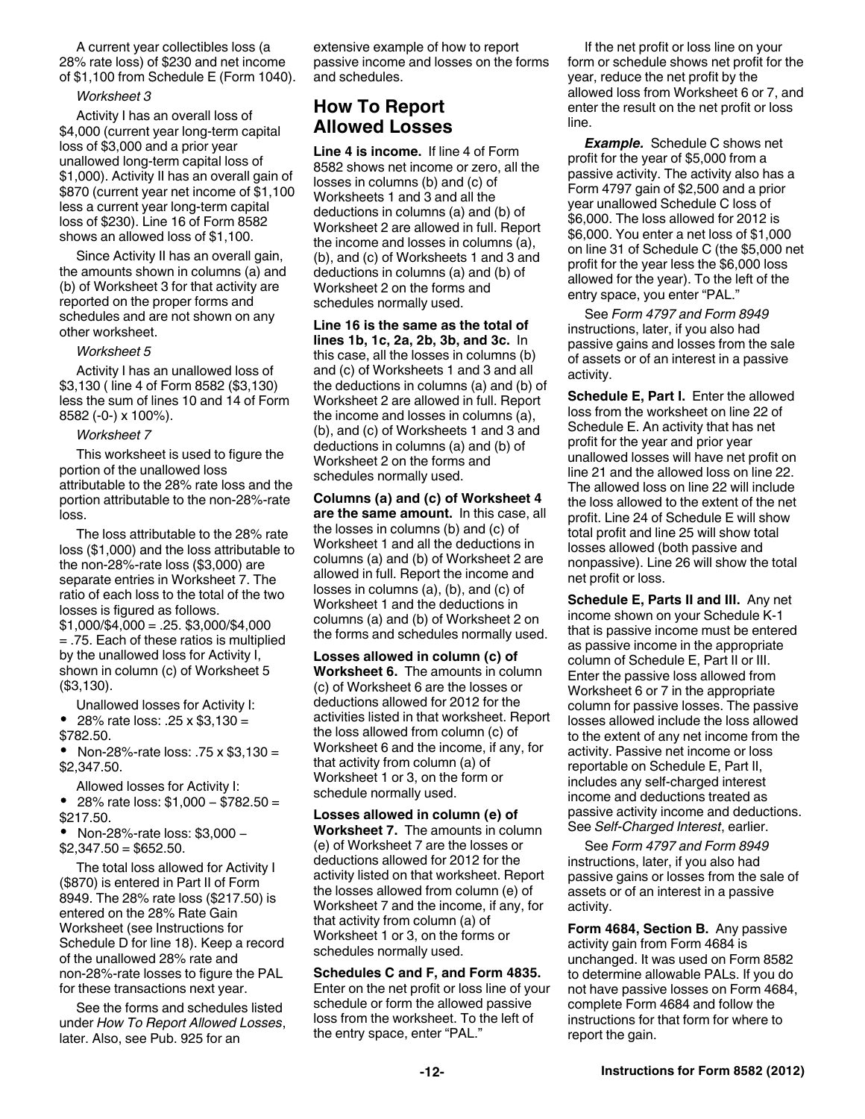A current year collectibles loss (a 28% rate loss) of \$230 and net income of \$1,100 from Schedule E (Form 1040).

#### *Worksheet 3*

Activity I has an overall loss of \$4,000 (current year long-term capital loss of \$3,000 and a prior year unallowed long-term capital loss of \$1,000). Activity II has an overall gain of \$870 (current year net income of \$1,100 less a current year long-term capital loss of \$230). Line 16 of Form 8582 shows an allowed loss of \$1,100.

Since Activity II has an overall gain, the amounts shown in columns (a) and (b) of Worksheet 3 for that activity are reported on the proper forms and schedules and are not shown on any other worksheet.

#### *Worksheet 5*

Activity I has an unallowed loss of \$3,130 ( line 4 of Form 8582 (\$3,130) less the sum of lines 10 and 14 of Form 8582 (-0-) x 100%).

#### *Worksheet 7*

This worksheet is used to figure the portion of the unallowed loss attributable to the 28% rate loss and the portion attributable to the non-28%-rate loss.

The loss attributable to the 28% rate loss (\$1,000) and the loss attributable to the non-28%-rate loss (\$3,000) are separate entries in Worksheet 7. The ratio of each loss to the total of the two losses is figured as follows.  $$1,000/\$4,000 = .25.$ \$3,000/\$4,000 = .75. Each of these ratios is multiplied by the unallowed loss for Activity I, shown in column (c) of Worksheet 5 (\$3,130).

Unallowed losses for Activity I: 28% rate loss: .25 x \$3,130 = \$782.50.

• Non-28%-rate loss: .75 x  $$3,130 =$ \$2,347.50.

Allowed losses for Activity I:

 28% rate loss: \$1,000 − \$782.50 = \$217.50.

 Non-28%-rate loss: \$3,000 −  $$2,347.50 = $652.50.$ 

The total loss allowed for Activity I (\$870) is entered in Part II of Form 8949. The 28% rate loss (\$217.50) is entered on the 28% Rate Gain Worksheet (see Instructions for Schedule D for line 18). Keep a record of the unallowed 28% rate and non-28%-rate losses to figure the PAL for these transactions next year.

See the forms and schedules listed under *How To Report Allowed Losses*, later. Also, see Pub. 925 for an

extensive example of how to report passive income and losses on the forms and schedules.

## **How To Report Allowed Losses**

**Line 4 is income.** If line 4 of Form 8582 shows net income or zero, all the losses in columns (b) and (c) of Worksheets 1 and 3 and all the deductions in columns (a) and (b) of Worksheet 2 are allowed in full. Report the income and losses in columns (a), (b), and (c) of Worksheets 1 and 3 and deductions in columns (a) and (b) of Worksheet 2 on the forms and schedules normally used.

**Line 16 is the same as the total of lines 1b, 1c, 2a, 2b, 3b, and 3c.** In this case, all the losses in columns (b) and (c) of Worksheets 1 and 3 and all the deductions in columns (a) and (b) of Worksheet 2 are allowed in full. Report the income and losses in columns (a), (b), and (c) of Worksheets 1 and 3 and deductions in columns (a) and (b) of Worksheet 2 on the forms and schedules normally used.

**Columns (a) and (c) of Worksheet 4 are the same amount.** In this case, all the losses in columns (b) and (c) of Worksheet 1 and all the deductions in columns (a) and (b) of Worksheet 2 are allowed in full. Report the income and losses in columns (a), (b), and (c) of Worksheet 1 and the deductions in columns (a) and (b) of Worksheet 2 on the forms and schedules normally used.

**Losses allowed in column (c) of Worksheet 6.** The amounts in column (c) of Worksheet 6 are the losses or deductions allowed for 2012 for the activities listed in that worksheet. Report the loss allowed from column (c) of Worksheet 6 and the income, if any, for that activity from column (a) of Worksheet 1 or 3, on the form or schedule normally used.

**Losses allowed in column (e) of Worksheet 7.** The amounts in column (e) of Worksheet 7 are the losses or deductions allowed for 2012 for the activity listed on that worksheet. Report the losses allowed from column (e) of Worksheet 7 and the income, if any, for that activity from column (a) of Worksheet 1 or 3, on the forms or schedules normally used.

**Schedules C and F, and Form 4835.**  Enter on the net profit or loss line of your schedule or form the allowed passive loss from the worksheet. To the left of the entry space, enter "PAL."

If the net profit or loss line on your form or schedule shows net profit for the year, reduce the net profit by the allowed loss from Worksheet 6 or 7, and enter the result on the net profit or loss line.

*Example.* Schedule C shows net profit for the year of \$5,000 from a passive activity. The activity also has a Form 4797 gain of \$2,500 and a prior year unallowed Schedule C loss of \$6,000. The loss allowed for 2012 is \$6,000. You enter a net loss of \$1,000 on line 31 of Schedule C (the \$5,000 net profit for the year less the \$6,000 loss allowed for the year). To the left of the entry space, you enter "PAL."

See *Form 4797 and Form 8949*  instructions, later, if you also had passive gains and losses from the sale of assets or of an interest in a passive activity.

**Schedule E, Part I.** Enter the allowed loss from the worksheet on line 22 of Schedule E. An activity that has net profit for the year and prior year unallowed losses will have net profit on line 21 and the allowed loss on line 22. The allowed loss on line 22 will include the loss allowed to the extent of the net profit. Line 24 of Schedule E will show total profit and line 25 will show total losses allowed (both passive and nonpassive). Line 26 will show the total net profit or loss.

**Schedule E, Parts II and III.** Any net income shown on your Schedule K-1 that is passive income must be entered as passive income in the appropriate column of Schedule E, Part II or III. Enter the passive loss allowed from Worksheet 6 or 7 in the appropriate column for passive losses. The passive losses allowed include the loss allowed to the extent of any net income from the activity. Passive net income or loss reportable on Schedule E, Part II, includes any self-charged interest income and deductions treated as passive activity income and deductions. See *Self-Charged Interest*, earlier.

See *Form 4797 and Form 8949*  instructions, later, if you also had passive gains or losses from the sale of assets or of an interest in a passive activity.

**Form 4684, Section B.** Any passive activity gain from Form 4684 is unchanged. It was used on Form 8582 to determine allowable PALs. If you do not have passive losses on Form 4684, complete Form 4684 and follow the instructions for that form for where to report the gain.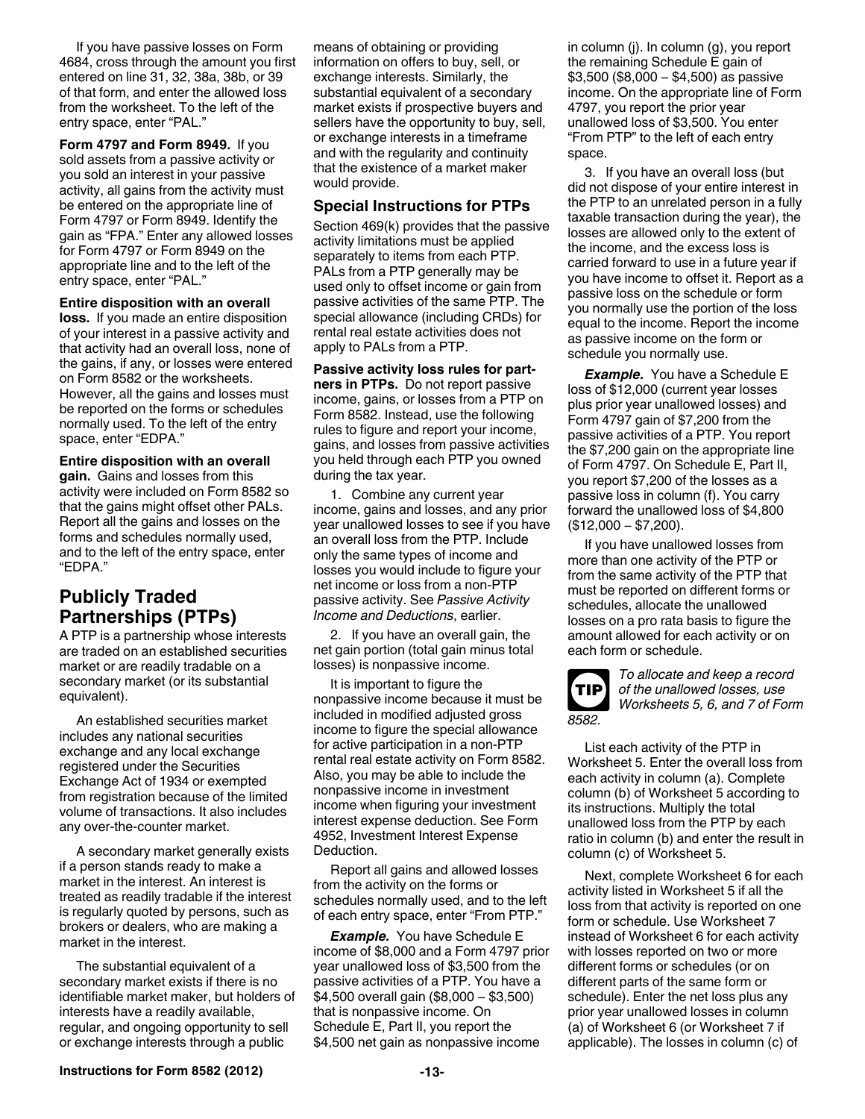If you have passive losses on Form 4684, cross through the amount you first entered on line 31, 32, 38a, 38b, or 39 of that form, and enter the allowed loss from the worksheet. To the left of the entry space, enter "PAL."

**Form 4797 and Form 8949.** If you sold assets from a passive activity or you sold an interest in your passive activity, all gains from the activity must be entered on the appropriate line of Form 4797 or Form 8949. Identify the gain as "FPA." Enter any allowed losses for Form 4797 or Form 8949 on the appropriate line and to the left of the entry space, enter "PAL."

#### **Entire disposition with an overall**

**loss.** If you made an entire disposition of your interest in a passive activity and that activity had an overall loss, none of the gains, if any, or losses were entered on Form 8582 or the worksheets. However, all the gains and losses must be reported on the forms or schedules normally used. To the left of the entry space, enter "EDPA."

**Entire disposition with an overall gain.** Gains and losses from this activity were included on Form 8582 so that the gains might offset other PALs. Report all the gains and losses on the forms and schedules normally used, and to the left of the entry space, enter "EDPA."

## **Publicly Traded Partnerships (PTPs)**

A PTP is a partnership whose interests are traded on an established securities market or are readily tradable on a secondary market (or its substantial equivalent).

An established securities market includes any national securities exchange and any local exchange registered under the Securities Exchange Act of 1934 or exempted from registration because of the limited volume of transactions. It also includes any over-the-counter market.

A secondary market generally exists if a person stands ready to make a market in the interest. An interest is treated as readily tradable if the interest is regularly quoted by persons, such as brokers or dealers, who are making a market in the interest.

The substantial equivalent of a secondary market exists if there is no identifiable market maker, but holders of interests have a readily available, regular, and ongoing opportunity to sell or exchange interests through a public

means of obtaining or providing information on offers to buy, sell, or exchange interests. Similarly, the substantial equivalent of a secondary market exists if prospective buyers and sellers have the opportunity to buy, sell, or exchange interests in a timeframe and with the regularity and continuity that the existence of a market maker would provide.

#### **Special Instructions for PTPs**

Section 469(k) provides that the passive activity limitations must be applied separately to items from each PTP. PALs from a PTP generally may be used only to offset income or gain from passive activities of the same PTP. The special allowance (including CRDs) for rental real estate activities does not apply to PALs from a PTP.

**Passive activity loss rules for partners in PTPs.** Do not report passive income, gains, or losses from a PTP on Form 8582. Instead, use the following rules to figure and report your income, gains, and losses from passive activities you held through each PTP you owned during the tax year.

1. Combine any current year income, gains and losses, and any prior year unallowed losses to see if you have an overall loss from the PTP. Include only the same types of income and losses you would include to figure your net income or loss from a non-PTP passive activity. See *Passive Activity Income and Deductions*, earlier.

2. If you have an overall gain, the net gain portion (total gain minus total losses) is nonpassive income.

It is important to figure the nonpassive income because it must be included in modified adjusted gross income to figure the special allowance for active participation in a non-PTP rental real estate activity on Form 8582. Also, you may be able to include the nonpassive income in investment income when figuring your investment interest expense deduction. See Form 4952, Investment Interest Expense Deduction.

Report all gains and allowed losses from the activity on the forms or schedules normally used, and to the left of each entry space, enter "From PTP."

*Example.* You have Schedule E income of \$8,000 and a Form 4797 prior year unallowed loss of \$3,500 from the passive activities of a PTP. You have a \$4,500 overall gain (\$8,000 − \$3,500) that is nonpassive income. On Schedule E, Part II, you report the \$4,500 net gain as nonpassive income

in column (j). In column (g), you report the remaining Schedule E gain of \$3,500 (\$8,000 − \$4,500) as passive income. On the appropriate line of Form 4797, you report the prior year unallowed loss of \$3,500. You enter "From PTP" to the left of each entry space.

3. If you have an overall loss (but did not dispose of your entire interest in the PTP to an unrelated person in a fully taxable transaction during the year), the losses are allowed only to the extent of the income, and the excess loss is carried forward to use in a future year if you have income to offset it. Report as a passive loss on the schedule or form you normally use the portion of the loss equal to the income. Report the income as passive income on the form or schedule you normally use.

**Example.** You have a Schedule E loss of \$12,000 (current year losses plus prior year unallowed losses) and Form 4797 gain of \$7,200 from the passive activities of a PTP. You report the \$7,200 gain on the appropriate line of Form 4797. On Schedule E, Part II, you report \$7,200 of the losses as a passive loss in column (f). You carry forward the unallowed loss of \$4,800 (\$12,000 − \$7,200).

If you have unallowed losses from more than one activity of the PTP or from the same activity of the PTP that must be reported on different forms or schedules, allocate the unallowed losses on a pro rata basis to figure the amount allowed for each activity or on each form or schedule.



*To allocate and keep a record of the unallowed losses, use Worksheets 5, 6, and 7 of Form* 

List each activity of the PTP in Worksheet 5. Enter the overall loss from each activity in column (a). Complete column (b) of Worksheet 5 according to its instructions. Multiply the total unallowed loss from the PTP by each ratio in column (b) and enter the result in column (c) of Worksheet 5.

Next, complete Worksheet 6 for each activity listed in Worksheet 5 if all the loss from that activity is reported on one form or schedule. Use Worksheet 7 instead of Worksheet 6 for each activity with losses reported on two or more different forms or schedules (or on different parts of the same form or schedule). Enter the net loss plus any prior year unallowed losses in column (a) of Worksheet 6 (or Worksheet 7 if applicable). The losses in column (c) of